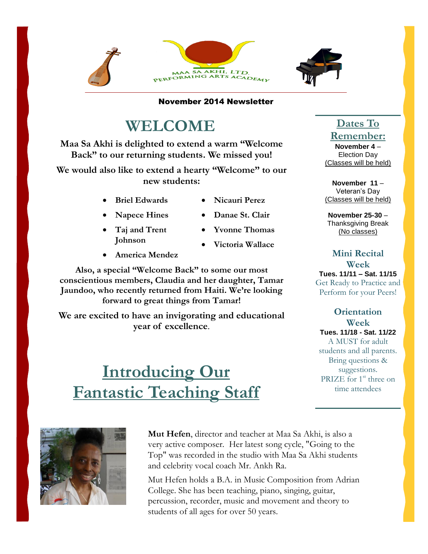

November 2014 Newsletter

## **WELCOME**

**Maa Sa Akhi is delighted to extend a warm "Welcome Back" to our returning students. We missed you!** 

**We would also like to extend a hearty "Welcome" to our new students:**

- **Briel Edwards**
- **Nicauri Perez**
- **Napece Hines**
- **Danae St. Clair**

**Yvonne Thomas**

- **Taj and Trent Johnson**
	- **Victoria Wallace**
- **America Mendez**

 **Jaundoo, who recently returned from Haiti. We're looking Also, a special "Welcome Back" to some our most conscientious members, Claudia and her daughter, Tamar forward to great things from Tamar!**

**We are excited to have an invigorating and educational year of excellence**.

# **Introducing Our Fantastic Teaching Staff**

### **Dates To Remember:**

**November 4** – Election Day (Classes will be held)

**November 11** – Veteran's Day (Classes will be held)

**November 25-30** – Thanksgiving Break (No classes)

**Mini Recital Week Tues. 11/11 – Sat. 11/15** Get Ready to Practice and Perform for your Peers!

**Orientation Week Tues. 11/18 - Sat. 11/22** A MUST for adult students and all parents. Bring questions & suggestions. PRIZE for 1<sup>st</sup> three on time attendees



**Mut Hefen**, director and teacher at Maa Sa Akhi, is also a very active composer. Her latest song cycle, "Going to the Top" was recorded in the studio with Maa Sa Akhi students and celebrity vocal coach Mr. Ankh Ra.

Mut Hefen holds a B.A. in Music Composition from Adrian College. She has been teaching, piano, singing, guitar, percussion, recorder, music and movement and theory to students of all ages for over 50 years.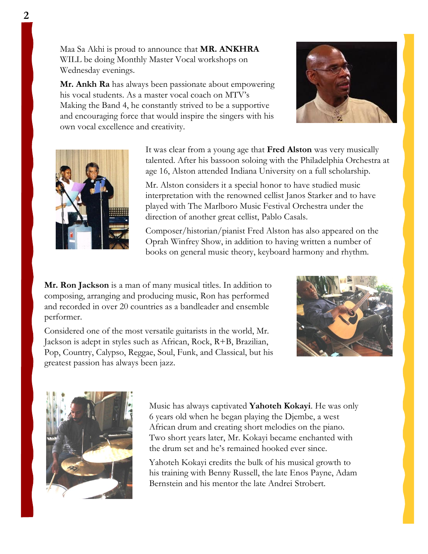Maa Sa Akhi is proud to announce that **MR. ANKHRA**  WILL be doing Monthly Master Vocal workshops on Wednesday evenings.

**Mr. Ankh Ra** has always been passionate about empowering his vocal students. As a master vocal coach on MTV's Making the Band 4, he constantly strived to be a supportive and encouraging force that would inspire the singers with his own vocal excellence and creativity.





It was clear from a young age that **Fred Alston** was very musically talented. After his bassoon soloing with the Philadelphia Orchestra at age 16, Alston attended Indiana University on a full scholarship.

Mr. Alston considers it a special honor to have studied music interpretation with the renowned cellist Janos Starker and to have played with The Marlboro Music Festival Orchestra under the direction of another great cellist, Pablo Casals.

Composer/historian/pianist Fred Alston has also appeared on the Oprah Winfrey Show, in addition to having written a number of books on general music theory, keyboard harmony and rhythm.

**Mr. Ron Jackson** is a man of many musical titles. In addition to composing, arranging and producing music, Ron has performed and recorded in over 20 countries as a bandleader and ensemble performer.

Considered one of the most versatile guitarists in the world, Mr. Jackson is adept in styles such as African, Rock, R+B, Brazilian, Pop, Country, Calypso, Reggae, Soul, Funk, and Classical, but his greatest passion has always been jazz.





١

Music has always captivated **Yahoteh Kokayi**. He was only 6 years old when he began playing the Djembe, a west African drum and creating short melodies on the piano. Two short years later, Mr. Kokayi became enchanted with the drum set and he's remained hooked ever since.

Yahoteh Kokayi credits the bulk of his musical growth to his training with Benny Russell, the late Enos Payne, Adam Bernstein and his mentor the late Andrei Strobert.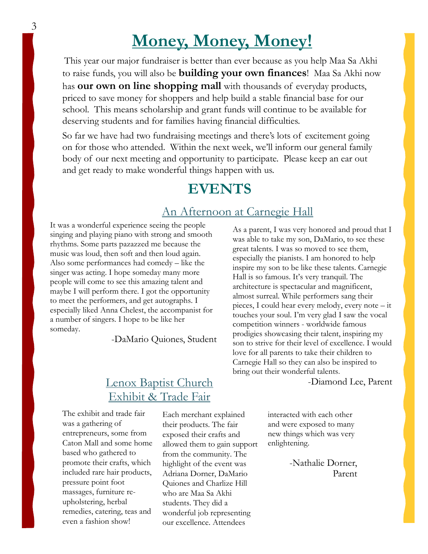# **Money, Money, Money!**

This year our major fundraiser is better than ever because as you help Maa Sa Akhi to raise funds, you will also be **building your own finances**! Maa Sa Akhi now has **our own on line shopping mall** with thousands of everyday products, priced to save money for shoppers and help build a stable financial base for our school. This means scholarship and grant funds will continue to be available for deserving students and for families having financial difficulties.

So far we have had two fundraising meetings and there's lots of excitement going on for those who attended. Within the next week, we'll inform our general family body of our next meeting and opportunity to participate. Please keep an ear out and get ready to make wonderful things happen with us.

## **EVENTS**

#### An Afternoon at Carnegie Hall

It was a wonderful experience seeing the people singing and playing piano with strong and smooth rhythms. Some parts pazazzed me because the music was loud, then soft and then loud again. Also some performances had comedy – like the singer was acting. I hope someday many more people will come to see this amazing talent and maybe I will perform there. I got the opportunity to meet the performers, and get autographs. I especially liked Anna Chelest, the accompanist for a number of singers. I hope to be like her someday.

-DaMario Quiones, Student

### Lenox Baptist Church -Diamond Lee, Parent Exhibit & Trade Fair

The exhibit and trade fair was a gathering of entrepreneurs, some from Caton Mall and some home based who gathered to promote their crafts, which included rare hair products, pressure point foot massages, furniture reupholstering, herbal remedies, catering, teas and even a fashion show!

Each merchant explained their products. The fair exposed their crafts and allowed them to gain support from the community. The highlight of the event was Adriana Dorner, DaMario Quiones and Charlize Hill who are Maa Sa Akhi students. They did a wonderful job representing our excellence. Attendees

As a parent, I was very honored and proud that I was able to take my son, DaMario, to see these great talents. I was so moved to see them, especially the pianists. I am honored to help inspire my son to be like these talents. Carnegie Hall is so famous. It's very tranquil. The architecture is spectacular and magnificent, almost surreal. While performers sang their pieces, I could hear every melody, every note – it touches your soul. I'm very glad I saw the vocal competition winners - worldwide famous prodigies showcasing their talent, inspiring my son to strive for their level of excellence. I would love for all parents to take their children to Carnegie Hall so they can also be inspired to bring out their wonderful talents.

interacted with each other and were exposed to many new things which was very enlightening.

> -Nathalie Dorner, Parent